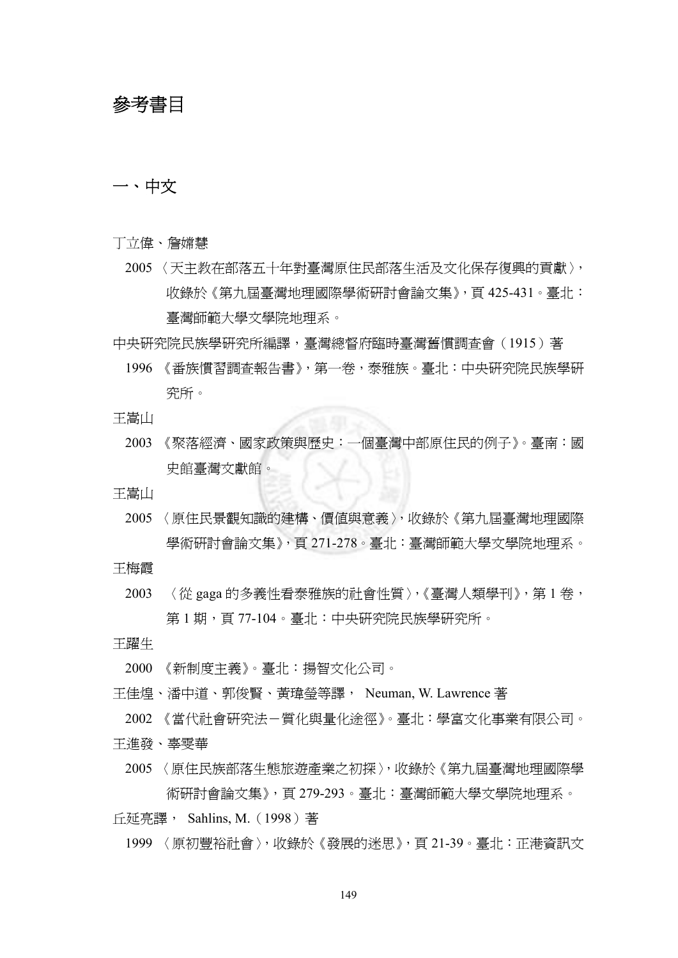# 參考書目

# 一、中文

- 丁立偉、詹嫦慧
	- 2005 〈天主教在部落五十年對臺灣原住民部落生活及文化保存復興的貢獻〉, 收錄於《第九屆臺灣地理國際學術研討會論文集》,頁 425-431。臺北: 臺灣師範大學文學院地理系。
- 中央研究院民族學研究所編譯,臺灣總督府臨時臺灣舊慣調查會(1915)著
	- 1996 《番族慣習調查報告書》,第一卷,泰雅族。臺北:中央研究院民族學研 究所。
- 王嵩山
	- 2003 《聚落經濟、國家政策與歷史: 一個臺灣中部原住民的例子》。臺南:國 史館臺灣文獻館。
- 王嵩山
	- 2005 〈原住民景觀知識的建構、價值與意義〉,收錄於《第九屆臺灣地理國際 學術研討會論文集》,頁 271-278。臺北:臺灣師範大學文學院地理系。
- 王梅霞
	- 2003 〈從 gaga 的多義性看泰雅族的社會性質〉,《臺灣人類學刊》,第 1 卷, 第1期,百77-104。臺北:中央研究院民族學研究所。
- 王躍生
	- 2000 《新制度主義》。臺北:揚智文化公司。
- 王佳煌、潘中道、郭俊賢、黃瑋瑩等譯, Neuman, W. Lawrence 著
- 2002 《當代社會研究法-質化與量化途徑》。臺北:學富文化事業有限公司。
- 王進發、辜雯華
	- 2005 〈原住民族部落生態旅遊產業之初探〉,收錄於《第九屆臺灣地理國際學 術研討會論文集》,頁 279-293。臺北:臺灣師範大學文學院地理系。
- 丘延亮譯, Sahlins, M.(1998)著
	- 1999 〈原初豐裕社會〉,收錄於《發展的迷思》,頁 21-39。臺北:正港資訊文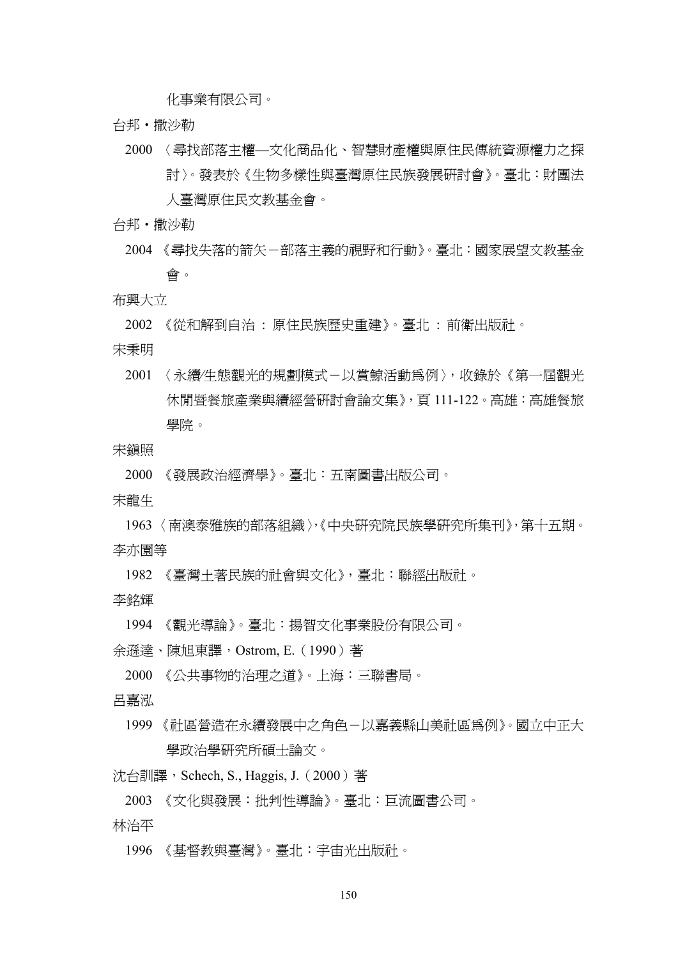化事業有限公司。

- 台邦‧撒沙勒
	- 2000 〈尋找部落主權—文化商品化、智慧財產權與原住民傳統資源權力之探 討〉。發表於《生物多樣性與臺灣原住民族發展研討會》。臺北:財團法 人臺灣原住民文教基金會。
- 台邦‧撒沙勒
	- 2004 《尋找失落的箭矢-部落主義的視野和行動》。臺北:國家展望文教基金 會。
- 布興大立

2002 《從和解到自治 : 原住民族歷史重建》。臺北 : 前衛出版社。

- 宋秉明
	- 2001 〈永續⁄生態觀光的規劃模式-以賞鯨活動為例〉,收錄於《第一屆觀光 休閒暨餐旅產業與續經營研討會論文集》,頁 111-122。高雄:高雄餐旅 學院。
- 宋鎮照
	- 2000 《發展政治經濟學》。臺北:五南圖書出版公司。
- 宋龍生
- 1963 〈南澳泰雅族的部落組織〉,《中央研究院民族學研究所集刊》,第十五期。 李亦園等
	- 1982 《臺灣土著民族的社會與文化》,臺北:聯經出版社。
- 李銘輝
	- 1994 《觀光導論》。臺北:揚智文化事業股份有限公司。
- 余遜達、陳旭東譯,Ostrom, E.(1990)著
	- 2000 《公共事物的治理之道》。上海:三聯書局。
- 呂嘉泓
	- 1999 《社區營造在永續發展中之角色-以嘉義縣山美社區為例》。國立中正大 學政治學研究所碩士論文。

沈台訓譯, Schech, S., Haggis, J. (2000)著

- 2003 《文化與發展:批判性導論》。臺北:巨流圖書公司。
- 林治平
	- 1996 《基督教與臺灣》。臺北:宇宙光出版社。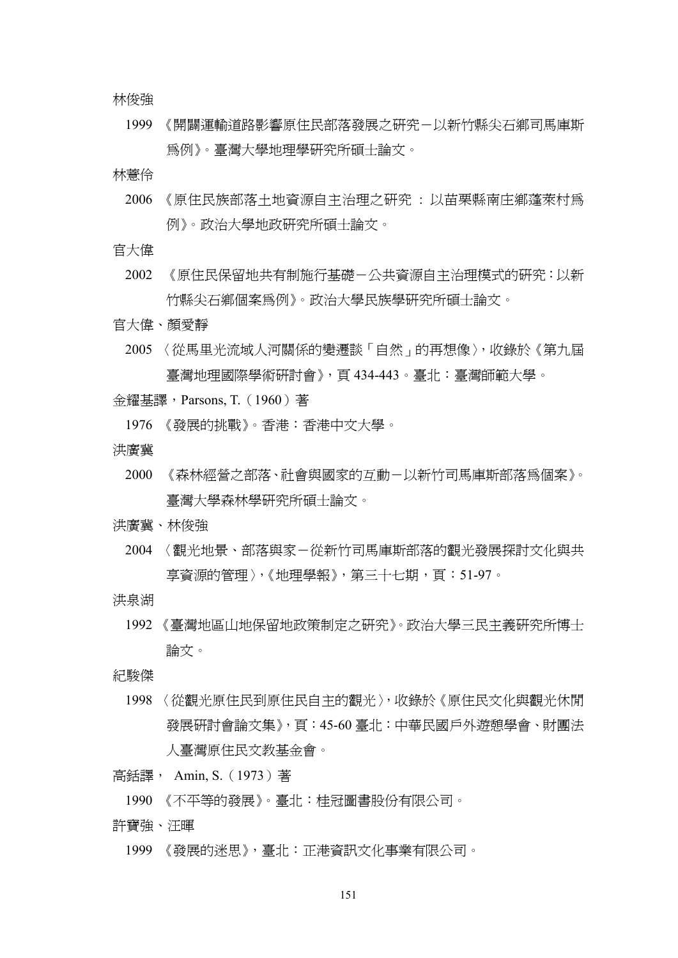林俊強

1999 《開闢運輸道路影響原住民部落發展之研究-以新竹縣尖石鄉司馬庫斯 為例》。臺灣大學地理學研究所碩士論文。

林薏伶

- 2006 《原住民族部落土地資源自主治理之研究 : 以苗栗縣南庄鄉蓬萊村為 例》。政治大學地政研究所碩士論文。
- 官大偉
	- 2002 《原住民保留地共有制施行基礎-公共資源自主治理模式的研究:以新 竹縣尖石鄉個案為例》。政治大學民族學研究所碩士論文。
- 官大偉、顏愛靜
	- 2005 〈從馬里光流域人河關係的變遷談「自然」的再想像〉,收錄於《第九屆 臺灣地理國際學術研討會》,頁 434-443。臺北:臺灣師範大學。
- 金耀基譯,Parsons, T.(1960)著
	- 1976 《發展的挑戰》。香港:香港中文大學。
- 洪廣冀
	- 2000 《森林經營之部落、社會與國家的互動-以新竹司馬庫斯部落為個案》。 臺灣大學森林學研究所碩士論文。
- 洪廣冀、林俊強
	- 2004 〈觀光地景、部落與家-從新竹司馬庫斯部落的觀光發展探討文化與共 享資源的管理〉,《地理學報》,第三十七期,頁:51-97。
- 洪泉湖
	- 1992 《臺灣地區山地保留地政策制定之研究》。政治大學三民主義研究所博士 論文。
- 紀駿傑
	- 1998 〈從觀光原住民到原住民自主的觀光〉,收錄於《原住民文化與觀光休閒 發展研討會論文集》,頁:45-60 臺北:中華民國戶外遊憩學會、財團法 人臺灣原住民文教基金會。
- 高銛譯, Amin, S.(1973)著
	- 1990 《不平等的發展》。臺北:桂冠圖書股份有限公司。
- 許寶強、汪暉
	- 1999 《發展的迷思》,臺北:正港資訊文化事業有限公司。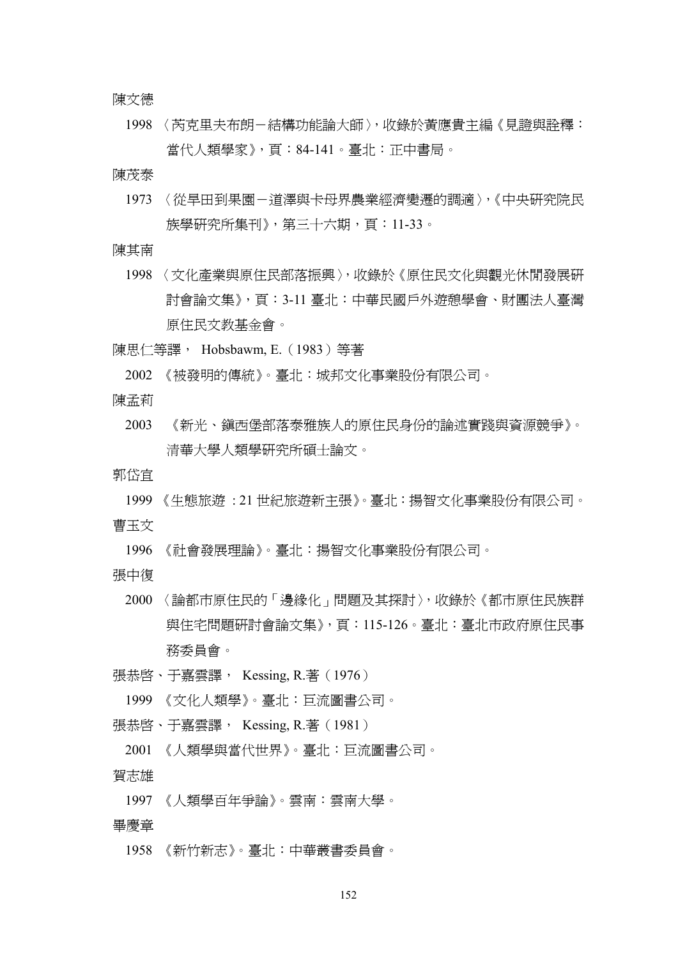陳文德

1998 〈芮克里夫布朗-結構功能論大師〉,收錄於黃應貴主編《見證與詮釋: 當代人類學家》,頁:84-141。臺北:正中書局。

陳茂泰

- 1973 〈從旱田到果園-道澤與卡母界農業經濟變遷的調滴〉,《中央研究院民 族學研究所集刊》,第三十六期,頁:11-33。
- 陳其南
	- 1998 〈文化產業與原住民部落振興〉,收錄於《原住民文化與觀光休閒發展研 討會論文集》,頁:3-11 臺北:中華民國戶外遊憩學會、財團法人臺灣 原住民文教基金會。
- 陳思仁等譯, Hobsbawm, E.(1983)等著

2002 《被發明的傳統》。臺北:城邦文化事業股份有限公司。

陳孟莉

2003 《新光、鎮西堡部落泰雅族人的原住民身份的論述實踐與資源競爭》。 清華大學人類學研究所碩士論文。

郭岱宜

1999 《生態旅遊 : 21 世紀旅遊新主張》。臺北:揚智文化事業股份有限公司。 曹玉文

1996 《社會發展理論》。臺北:揚智文化事業股份有限公司。

張中復

- 2000 〈論都市原住民的「邊緣化」問題及其探討〉,收錄於《都市原住民族群 與住宅問題研討會論文集》,頁:115-126。臺北:臺北市政府原住民事 務委員會。
- 張恭啓、于嘉雲譯, Kessing, R.著 (1976)
	- 1999 《文化人類學》。臺北:巨流圖書公司。
- 張恭啓、于嘉雲譯, Kessing, R.著 (1981)
	- 2001 《人類學與當代世界》。臺北:巨流圖書公司。
- 賀志雄
	- 1997 《人類學百年爭論》。雲南:雲南大學。
- 畢慶章
	- 1958 《新竹新志》。臺北:中華叢書委員會。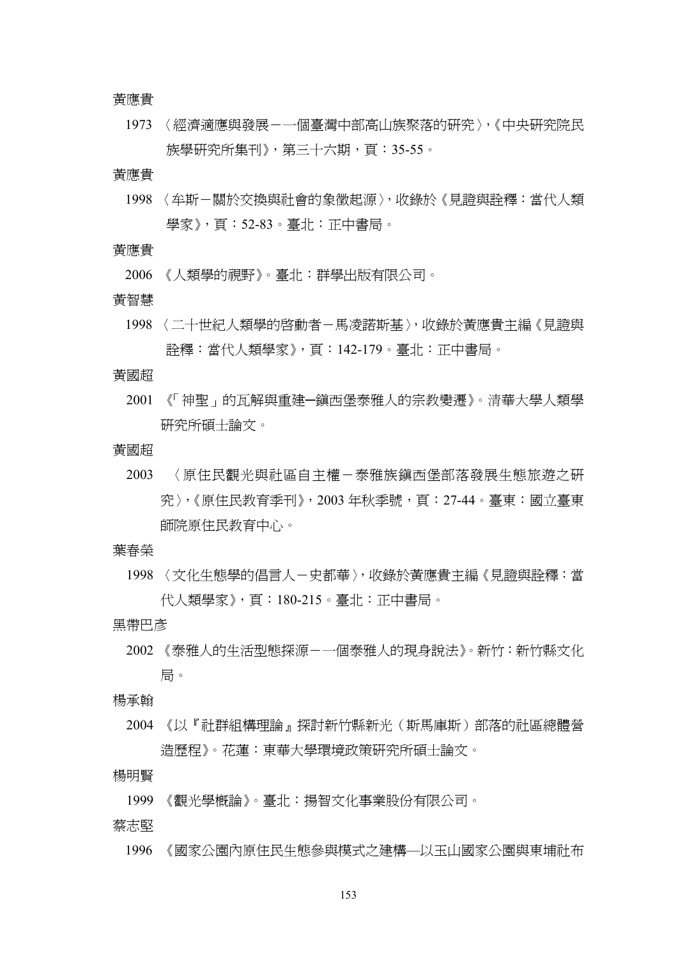#### 黃應貴

1973 〈經濟適應與發展-一個臺灣中部高山族聚落的研究〉,《中央研究院民 族學研究所集刊》, 第三十六期, 頁:35-55。

## 黃應貴

1998 〈牟斯-關於交換與計會的象徵起源〉,收錄於《見證與詮釋:當代人類 學家》,頁:52-83。臺北:正中書局。

## 黃應貴

2006 《人類學的視野》。臺北:群學出版有限公司。

#### 黃智慧

1998 〈二十世紀人類學的啓動者-馬凌諾斯基〉,收錄於黃應貴主編《見證與 詮釋:當代人類學家》,頁:142-179。臺北:正中書局。

## 黃國超

2001 《「神聖」的瓦解與重建─鎮西堡泰雅人的宗教變遷》。清華大學人類學 研究所碩士論文。

# 黃國超

- 2003 〈原住民觀光與社區自主權-泰雅族鎮西堡部落發展生態旅遊之研 究〉,《原住民教育季刊》,2003年秋季號,頁:27-44。臺東:國立臺東 師院原住民教育中心。
- 葉春榮
	- 1998 〈文化生態學的倡言人-史都華〉,收錄於黃應貴主編《見證與詮釋:當 代人類學家》,頁:180-215。臺北:正中書局。

# 黑帶巴彥

2002 《泰雅人的生活型態探源-一個泰雅人的現身說法》。新竹:新竹縣文化 局。

## 楊承翰

2004 《以『社群組構理論』探討新竹縣新光(斯馬庫斯)部落的社區總體營 造歷程》。花蓮:東華大學環境政策研究所碩士論文。

### 楊明賢

1999 《觀光學概論》。臺北:揚智文化事業股份有限公司。

## 蔡志堅

1996 《國家公園內原住民生態參與模式之建構—以玉山國家公園與東埔社布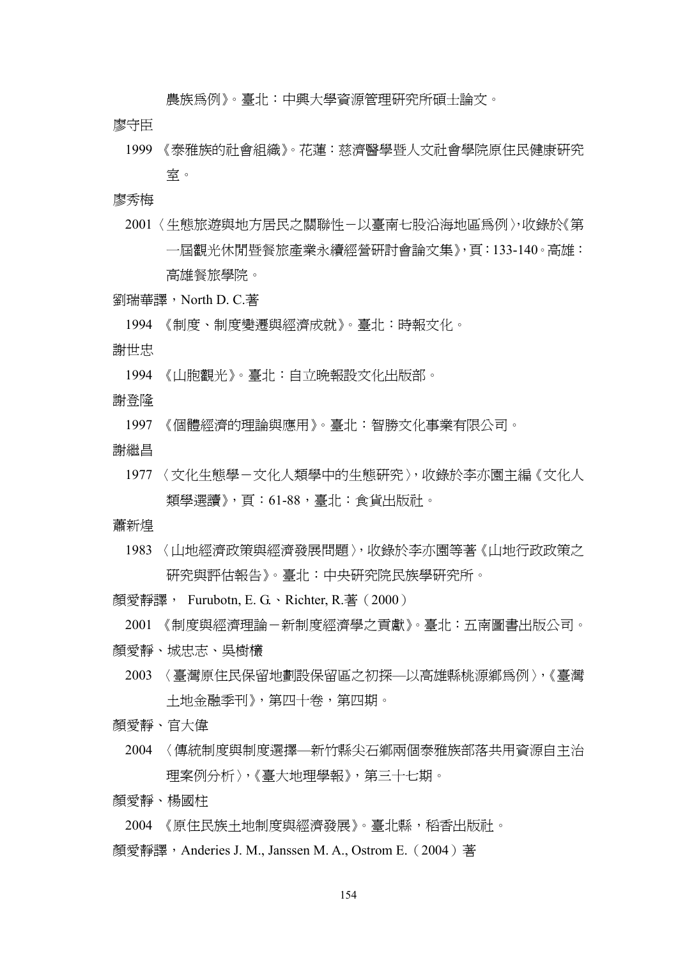農族為例》。臺北:中興大學資源管理研究所碩士論文。

廖守臣

1999 《泰雅族的社會組織》。花蓮:慈濟醫學暨人文社會學院原住民健康研究 室。

廖秀梅

- 2001 〈生態旅遊與地方居民之關聯性-以臺南七股沿海地區為例〉,收錄於《第 一屆觀光休閒暨餐旅產業永續經營研討會論文集》,頁:133-140。高雄: 高雄餐旅學院。
- 劉瑞華譯,North D. C.著
	- 1994 《制度、制度變遷與經濟成就》。臺北:時報文化。
- 謝世忠
	- 1994 《山胞觀光》。臺北:自立晚報設文化出版部。
- 謝登隆

1997 《個體經濟的理論與應用》。臺北:智勝文化事業有限公司。

- 謝繼昌
	- 1977 〈文化生態學-文化人類學中的生態研究〉,收錄於李亦園主編《文化人 類學選讀》,頁:61-88,臺北:食貨出版社。

蕭新煌

1983 〈山地經濟政策與經濟發展問題〉,收錄於李亦園等著《山地行政政策之 研究與評估報告》。臺北:中央研究院民族學研究所。

顏愛靜譯, Furubotn, E. G.、Richter, R.著 (2000)

2001 《制度與經濟理論-新制度經濟學之貢獻》。臺北:五南圖書出版公司。

- 顏愛靜、城忠志、吳樹欉
	- 2003 〈臺灣原住民保留地劃設保留區之初探—以高雄縣桃源鄉為例〉,《臺灣 土地金融季刊》,第四十卷,第四期。

顏愛靜、官大偉

- 2004 〈傳統制度與制度選擇—新竹縣尖石鄉兩個泰雅族部落共用資源自主治 理案例分析〉,《臺大地理學報》,第三十七期。
- 顏愛靜、楊國柱

2004 《原住民族土地制度與經濟發展》。臺北縣,稻香出版社。

顏愛靜譯, Anderies J. M., Janssen M. A., Ostrom E. (2004) 著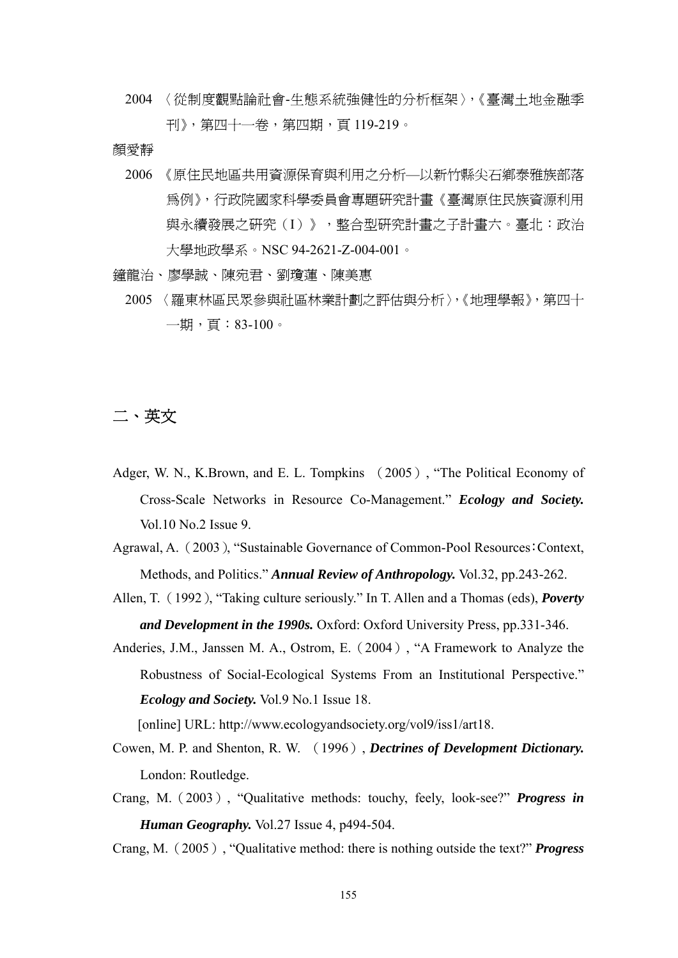2004 〈從制度觀點論社會-生態系統強健性的分析框架〉,《臺灣土地金融季 刊》,第四十一卷,第四期,頁 119-219。

顏愛靜

- 2006 《原住民地區共用資源保育與利用之分析—以新竹縣尖石鄉泰雅族部落 為例》,行政院國家科學委員會專題研究計畫《臺灣原住民族資源利用 與永續發展之研究(I)》,整合型研究計畫之子計畫六。臺北:政治 大學地政學系。NSC 94-2621-Z-004-001。
- 鐘龍治、廖學誠、陳宛君、劉瓊蓮、陳美惠
	- 2005 〈羅東林區民眾參與社區林業計劃之評估與分析〉,《地理學報》,第四十  $-\n$ 期,百:83-100。

# 二、英文

Adger, W. N., K.Brown, and E. L. Tompkins (2005), "The Political Economy of Cross-Scale Networks in Resource Co-Management." *Ecology and Society.* Vol.10 No.2 Issue 9.

Agrawal, A. (2003), "Sustainable Governance of Common-Pool Resources:Context, Methods, and Politics." *Annual Review of Anthropology.* Vol.32, pp.243-262.

- Allen, T. (1992), "Taking culture seriously." In T. Allen and a Thomas (eds), *Poverty and Development in the 1990s.* Oxford: Oxford University Press, pp.331-346.
- Anderies, J.M., Janssen M. A., Ostrom, E.(2004), "A Framework to Analyze the Robustness of Social-Ecological Systems From an Institutional Perspective." *Ecology and Society.* Vol.9 No.1 Issue 18.

[online] URL: http://www.ecologyandsociety.org/vol9/iss1/art18.

- Cowen, M. P. and Shenton, R. W. (1996), *Dectrines of Development Dictionary.* London: Routledge.
- Crang, M.(2003), "Qualitative methods: touchy, feely, look-see?" *Progress in Human Geography.* Vol.27 Issue 4, p494-504.

Crang, M.(2005), "Qualitative method: there is nothing outside the text?" *Progress*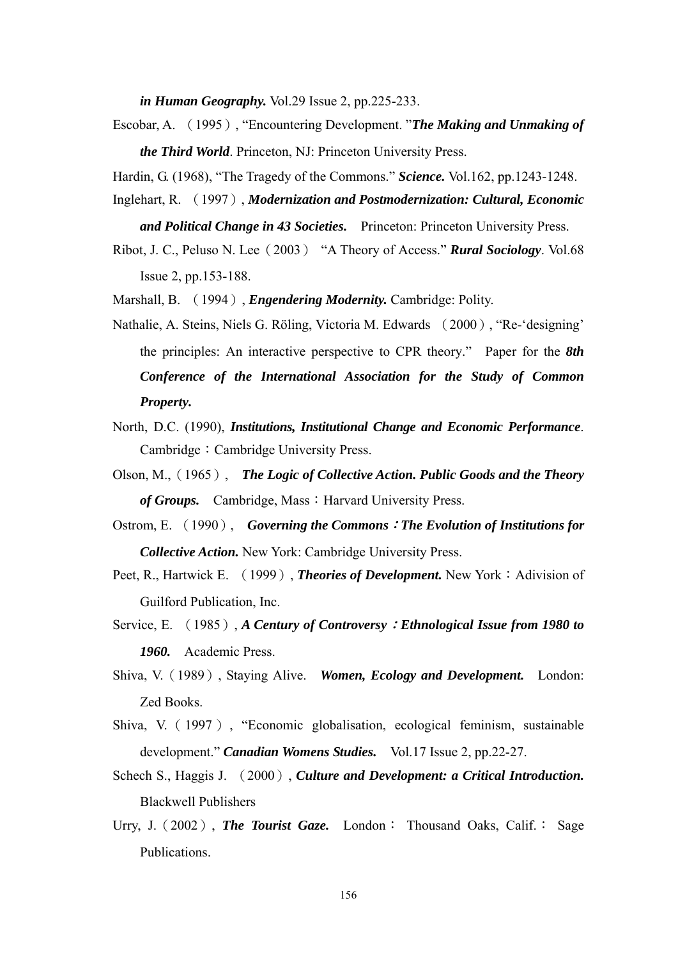*in Human Geography.* Vol.29 Issue 2, pp.225-233.

Escobar, A. (1995), "Encountering Development. "*The Making and Unmaking of the Third World*. Princeton, NJ: Princeton University Press.

Hardin, G. (1968), "The Tragedy of the Commons." *Science.* Vol.162, pp.1243-1248.

Inglehart, R. (1997), *Modernization and Postmodernization: Cultural, Economic* 

*and Political Change in 43 Societies.* Princeton: Princeton University Press.

Ribot, J. C., Peluso N. Lee(2003) "A Theory of Access." *Rural Sociology*. Vol.68 Issue 2, pp.153-188.

Marshall, B. (1994), *Engendering Modernity.* Cambridge: Polity.

- Nathalie, A. Steins, Niels G. Röling, Victoria M. Edwards (2000), "Re-'designing' the principles: An interactive perspective to CPR theory." Paper for the *8th Conference of the International Association for the Study of Common Property.*
- North, D.C. (1990), *Institutions, Institutional Change and Economic Performance*. Cambridge: Cambridge University Press.
- Olson, M.,(1965), *The Logic of Collective Action. Public Goods and the Theory*  of Groups. Cambridge, Mass: Harvard University Press.
- Ostrom, E. (1990), *Governing the Commons*:*The Evolution of Institutions for Collective Action.* New York: Cambridge University Press.
- Peet, R., Hartwick E. (1999), *Theories of Development*. New York: Adivision of Guilford Publication, Inc.
- Service, E. (1985), *A Century of Controversy*:*Ethnological Issue from 1980 to 1960.* Academic Press.
- Shiva, V.(1989), Staying Alive. *Women, Ecology and Development.* London: Zed Books.
- Shiva, V.(1997), "Economic globalisation, ecological feminism, sustainable development." *Canadian Womens Studies.* Vol.17 Issue 2, pp.22-27.
- Schech S., Haggis J. (2000), *Culture and Development: a Critical Introduction.* Blackwell Publishers
- Urry, J. (2002), **The Tourist Gaze.** London: Thousand Oaks, Calif.: Sage Publications.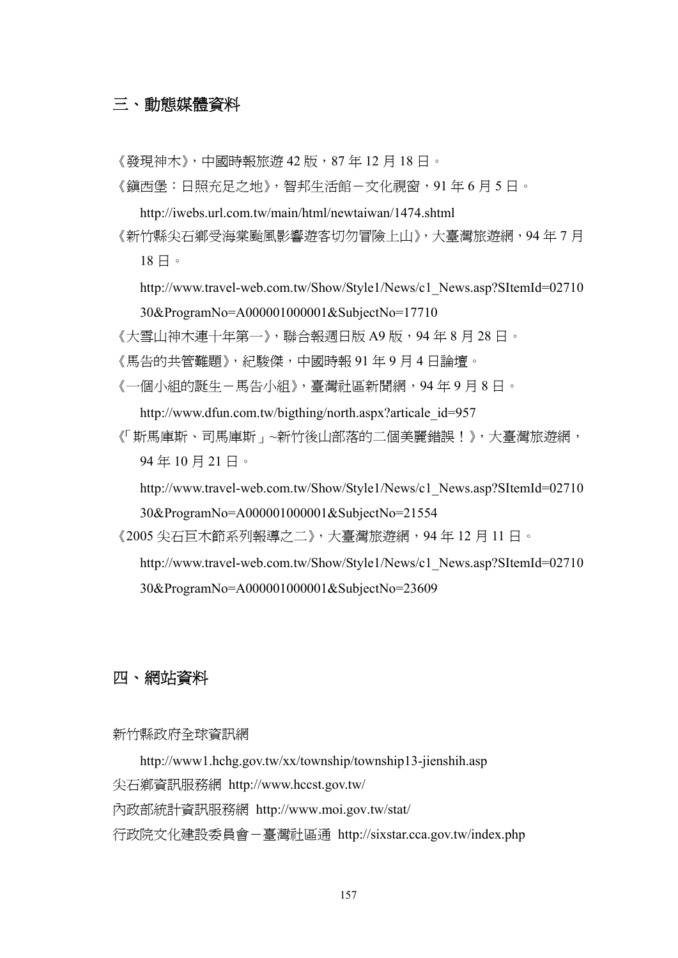# 三、動態媒體資料

《發現神木》,中國時報旅遊 42版,87年12月18日。

《鎮西堡:日照充足之地》,智邦生活館-文化視窗,91年6月5日。

- http://iwebs.url.com.tw/main/html/newtaiwan/1474.shtml
- 《新竹縣尖石鄉受海棠颱風影響遊客切勿冒險上山》,大臺灣旅遊網,94 年 7 月 18 日。
	- http://www.travel-web.com.tw/Show/Style1/News/c1\_News.asp?SItemId=02710 30&ProgramNo=A000001000001&SubjectNo=17710

《大雪山神木連十年第一》,聯合報週日版 A9 版,94 年 8 月 28 日。

- 《馬告的共管難題》,紀駿傑,中國時報 91 年 9 月 4 日論壇。
- 《一個小組的誕生-馬告小組》,臺灣社區新聞網,94 年 9 月 8 日。

http://www.dfun.com.tw/bigthing/north.aspx?articale\_id=957

《「斯馬庫斯、司馬庫斯」~新竹後山部落的二個美麗錯誤!》,大臺灣旅遊網, 94 年 10 月 21 日。

http://www.travel-web.com.tw/Show/Style1/News/c1\_News.asp?SItemId=02710

30&ProgramNo=A000001000001&SubjectNo=21554

《2005 尖石巨木節系列報導之二》,大臺灣旅遊網,94 年 12 月 11 日。

http://www.travel-web.com.tw/Show/Style1/News/c1\_News.asp?SItemId=02710 30&ProgramNo=A000001000001&SubjectNo=23609

# 四、網站資料

# 新竹縣政府全球資訊網

http://www1.hchg.gov.tw/xx/township/township13-jienshih.asp 尖石鄉資訊服務網 http://www.hccst.gov.tw/ 內政部統計資訊服務網 http://www.moi.gov.tw/stat/

行政院文化建設委員會-臺灣社區通 http://sixstar.cca.gov.tw/index.php